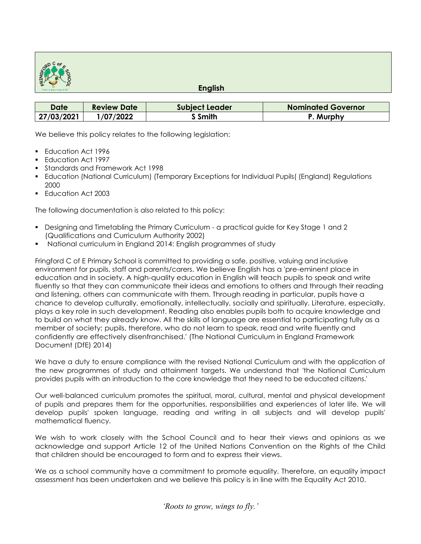

| <b>English</b> |
|----------------|
|----------------|

| Date       | <b>Review Date</b> | <b>Subject Leader</b> | <b>Nominated Governor</b> |
|------------|--------------------|-----------------------|---------------------------|
| 27/03/2021 | /07/2022           | <b>Smith</b>          | P. Murphy                 |

We believe this policy relates to the following legislation:

- **Education Act 1996**
- Education Act 1997
- Standards and Framework Act 1998
- **E** Education (National Curriculum) (Temporary Exceptions for Individual Pupils( (England) Regulations 2000
- **Education Act 2003**

The following documentation is also related to this policy:

- Designing and Timetabling the Primary Curriculum a practical guide for Key Stage 1 and 2 (Qualifications and Curriculum Authority 2002)
- National curriculum in England 2014: English programmes of study

Fringford C of E Primary School is committed to providing a safe, positive, valuing and inclusive environment for pupils, staff and parents/carers. We believe English has a 'pre-eminent place in education and in society. A high-quality education in English will teach pupils to speak and write fluently so that they can communicate their ideas and emotions to others and through their reading and listening, others can communicate with them. Through reading in particular, pupils have a chance to develop culturally, emotionally, intellectually, socially and spiritually. Literature, especially, plays a key role in such development. Reading also enables pupils both to acquire knowledge and to build on what they already know. All the skills of language are essential to participating fully as a member of society; pupils, therefore, who do not learn to speak, read and write fluently and confidently are effectively disenfranchised.' (The National Curriculum in England Framework Document (DfE) 2014)

We have a duty to ensure compliance with the revised National Curriculum and with the application of the new programmes of study and attainment targets. We understand that 'the National Curriculum provides pupils with an introduction to the core knowledge that they need to be educated citizens.'

Our well-balanced curriculum promotes the spiritual, moral, cultural, mental and physical development of pupils and prepares them for the opportunities, responsibilities and experiences of later life. We will develop pupils' spoken language, reading and writing in all subjects and will develop pupils' mathematical fluency.

We wish to work closely with the School Council and to hear their views and opinions as we acknowledge and support Article 12 of the United Nations Convention on the Rights of the Child that children should be encouraged to form and to express their views.

We as a school community have a commitment to promote equality. Therefore, an equality impact assessment has been undertaken and we believe this policy is in line with the Equality Act 2010.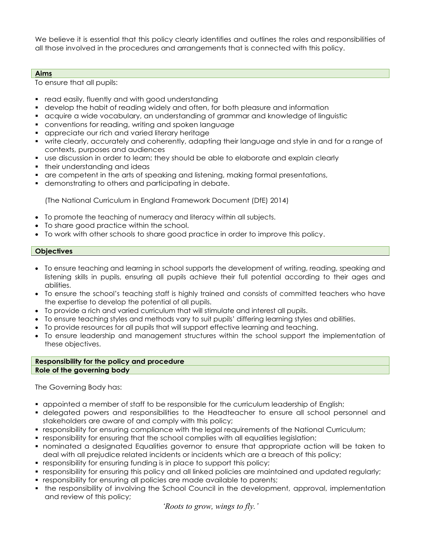We believe it is essential that this policy clearly identifies and outlines the roles and responsibilities of all those involved in the procedures and arrangements that is connected with this policy.

# **Aims**

To ensure that all pupils:

- **•** read easily, fluently and with good understanding
- develop the habit of reading widely and often, for both pleasure and information
- acquire a wide vocabulary, an understanding of grammar and knowledge of linguistic
- conventions for reading, writing and spoken language
- **a** appreciate our rich and varied literary heritage
- write clearly, accurately and coherently, adapting their language and style in and for a range of contexts, purposes and audiences
- use discussion in order to learn; they should be able to elaborate and explain clearly
- **their understanding and ideas**
- are competent in the arts of speaking and listening, making formal presentations,
- demonstrating to others and participating in debate.

(The National Curriculum in England Framework Document (DfE) 2014)

- To promote the teaching of numeracy and literacy within all subjects.
- To share good practice within the school.
- To work with other schools to share good practice in order to improve this policy.

### **Objectives**

- To ensure teaching and learning in school supports the development of writing, reading, speaking and listening skills in pupils, ensuring all pupils achieve their full potential according to their ages and abilities.
- To ensure the school's teaching staff is highly trained and consists of committed teachers who have the expertise to develop the potential of all pupils.
- To provide a rich and varied curriculum that will stimulate and interest all pupils.
- To ensure teaching styles and methods vary to suit pupils' differing learning styles and abilities.
- To provide resources for all pupils that will support effective learning and teaching.
- To ensure leadership and management structures within the school support the implementation of these objectives.

#### **Responsibility for the policy and procedure Role of the governing body**

The Governing Body has:

- appointed a member of staff to be responsible for the curriculum leadership of English;
- delegated powers and responsibilities to the Headteacher to ensure all school personnel and stakeholders are aware of and comply with this policy;
- responsibility for ensuring compliance with the legal requirements of the National Curriculum;
- responsibility for ensuring that the school complies with all equalities legislation;
- nominated a designated Equalities governor to ensure that appropriate action will be taken to deal with all prejudice related incidents or incidents which are a breach of this policy;
- **•** responsibility for ensuring funding is in place to support this policy;
- responsibility for ensuring this policy and all linked policies are maintained and updated regularly;
- responsibility for ensuring all policies are made available to parents;
- the responsibility of involving the School Council in the development, approval, implementation and review of this policy;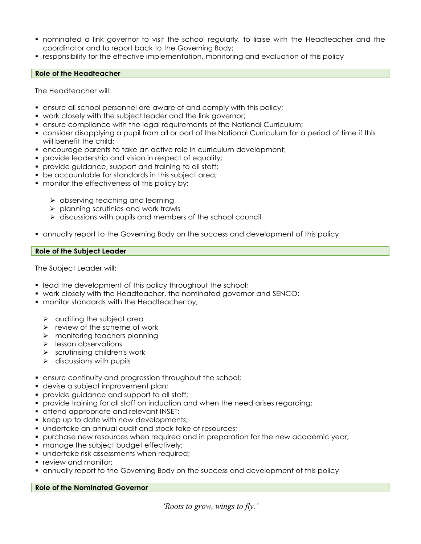- nominated a link governor to visit the school regularly, to liaise with the Headteacher and the coordinator and to report back to the Governing Body;
- responsibility for the effective implementation, monitoring and evaluation of this policy

### **Role of the Headteacher**

The Headteacher will:

- **e** ensure all school personnel are aware of and comply with this policy;
- work closely with the subject leader and the link governor;
- ensure compliance with the legal requirements of the National Curriculum;
- consider disapplying a pupil from all or part of the National Curriculum for a period of time if this will benefit the child;
- encourage parents to take an active role in curriculum development;
- **provide leadership and vision in respect of equality;**
- **provide guidance, support and training to all staff;**
- be accountable for standards in this subject area;
- **nonitor the effectiveness of this policy by;** 
	- $\triangleright$  observing teaching and learning
	- $\triangleright$  planning scrutinies and work trawls
	- $\triangleright$  discussions with pupils and members of the school council
- annually report to the Governing Body on the success and development of this policy

### **Role of the Subject Leader**

The Subject Leader will:

- **I** lead the development of this policy throughout the school;
- work closely with the Headteacher, the nominated governor and SENCO;
- **nance in the Headteacher by;** anonitor standards with the Headteacher by;
	- $\triangleright$  auditing the subject area
	- $\triangleright$  review of the scheme of work
	- > monitoring teachers planning
	- > lesson observations
	- $\triangleright$  scrutinising children's work
	- $\triangleright$  discussions with pupils
- ensure continuity and progression throughout the school;
- **devise a subject improvement plan;**
- **provide guidance and support to all staff;**
- provide training for all staff on induction and when the need arises regarding;
- **attend appropriate and relevant INSET;**
- keep up to date with new developments;
- undertake an annual audit and stock take of resources;
- purchase new resources when required and in preparation for the new academic year;
- **nanage the subject budget effectively;**
- **undertake risk assessments when required;**
- **review and monitor:**
- annually report to the Governing Body on the success and development of this policy

# **Role of the Nominated Governor**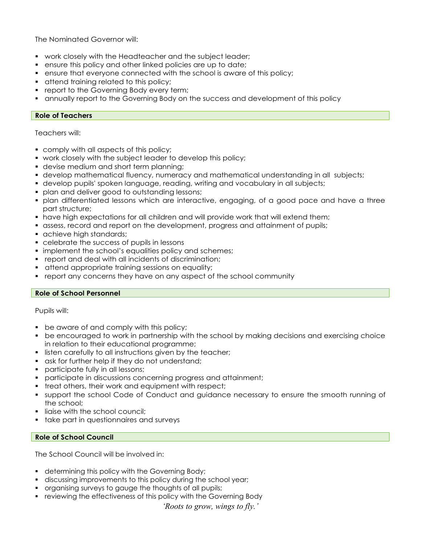The Nominated Governor will:

- work closely with the Headteacher and the subject leader;
- ensure this policy and other linked policies are up to date;
- ensure that everyone connected with the school is aware of this policy;
- **•** attend training related to this policy;
- **•** report to the Governing Body every term;
- annually report to the Governing Body on the success and development of this policy

### **Role of Teachers**

Teachers will:

- comply with all aspects of this policy;
- work closely with the subject leader to develop this policy;
- **devise medium and short term planning;**
- develop mathematical fluency, numeracy and mathematical understanding in all subjects;
- develop pupils' spoken language, reading, writing and vocabulary in all subjects;
- **plan and deliver good to outstanding lessons;**
- plan differentiated lessons which are interactive, engaging, of a good pace and have a three part structure;
- have high expectations for all children and will provide work that will extend them;
- assess, record and report on the development, progress and attainment of pupils;
- **a** achieve high standards;
- celebrate the success of pupils in lessons
- **Implement the school's equalities policy and schemes;**
- **•** report and deal with all incidents of discrimination;
- **that incore is absorpt** attend appropriate training sessions on equality;
- report any concerns they have on any aspect of the school community

# **Role of School Personnel**

Pupils will:

- **be aware of and comply with this policy;**
- **•** be encouraged to work in partnership with the school by making decisions and exercising choice in relation to their educational programme;
- **I** listen carefully to all instructions given by the teacher;
- **s** ask for further help if they do not understand;
- **participate fully in all lessons;**
- participate in discussions concerning progress and attainment;
- **treat others, their work and equipment with respect;**
- support the school Code of Conduct and guidance necessary to ensure the smooth running of the school;
- **If all i** liaise with the school council;
- **take part in questionnaires and surveys**

# **Role of School Council**

The School Council will be involved in:

- **determining this policy with the Governing Body;**
- discussing improvements to this policy during the school year;
- organising surveys to gauge the thoughts of all pupils;
- **•** reviewing the effectiveness of this policy with the Governing Body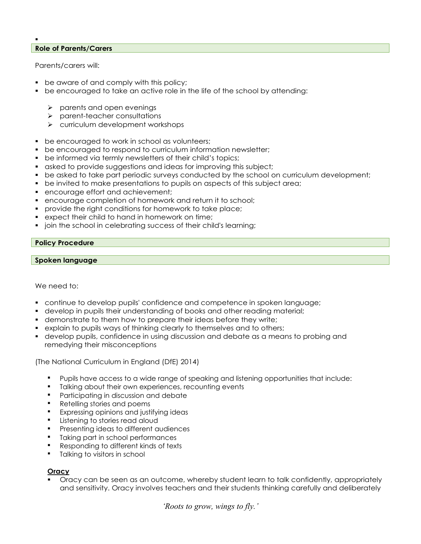# **Role of Parents/Carers**

Parents/carers will:

:

- **be aware of and comply with this policy;**
- be encouraged to take an active role in the life of the school by attending:
	- $\triangleright$  parents and open evenings
	- > parent-teacher consultations
	- > curriculum development workshops
- **be encouraged to work in school as volunteers;**
- be encouraged to respond to curriculum information newsletter;
- be informed via termly newsletters of their child's topics;
- **s** asked to provide suggestions and ideas for improving this subject;
- **be asked to take part periodic surveys conducted by the school on curriculum development;**
- be invited to make presentations to pupils on aspects of this subject area;
- encourage effort and achievement;
- encourage completion of homework and return it to school;
- **provide the right conditions for homework to take place;**
- expect their child to hand in homework on time;
- join the school in celebrating success of their child's learning;

# **Policy Procedure**

**Spoken language** 

We need to:

- continue to develop pupils' confidence and competence in spoken language;
- develop in pupils their understanding of books and other reading material;
- demonstrate to them how to prepare their ideas before they write;
- explain to pupils ways of thinking clearly to themselves and to others;
- develop pupils, confidence in using discussion and debate as a means to probing and remedying their misconceptions

(The National Curriculum in England (DfE) 2014)

- Pupils have access to a wide range of speaking and listening opportunities that include:
- Talking about their own experiences, recounting events
- **Participating in discussion and debate**
- Retelling stories and poems
- Expressing opinions and justifying ideas
- Listening to stories read aloud
- Presenting ideas to different audiences
- Taking part in school performances
- Responding to different kinds of texts
- **Talking to visitors in school**

# **Oracy**

 Oracy can be seen as an outcome, whereby student learn to talk confidently, appropriately and sensitivity. Oracy involves teachers and their students thinking carefully and deliberately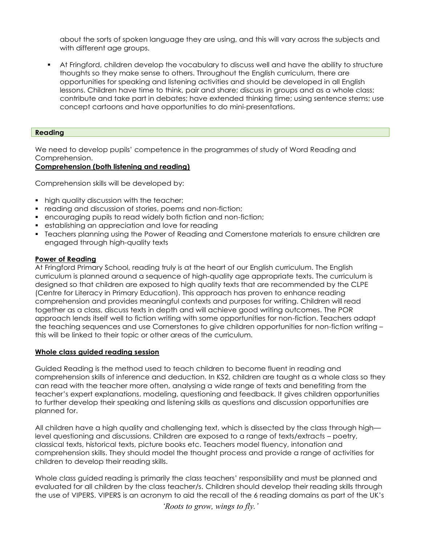about the sorts of spoken language they are using, and this will vary across the subjects and with different age groups.

 At Fringford, children develop the vocabulary to discuss well and have the ability to structure thoughts so they make sense to others. Throughout the English curriculum, there are opportunities for speaking and listening activities and should be developed in all English lessons. Children have time to think, pair and share; discuss in groups and as a whole class; contribute and take part in debates; have extended thinking time; using sentence stems; use concept cartoons and have opportunities to do mini-presentations.

# **Reading**

We need to develop pupils' competence in the programmes of study of Word Reading and Comprehension.

# **Comprehension (both listening and reading)**

Comprehension skills will be developed by:

- **high quality discussion with the teacher;**
- **•** reading and discussion of stories, poems and non-fiction;
- encouraging pupils to read widely both fiction and non-fiction;
- **EXECT:** establishing an appreciation and love for reading
- Teachers planning using the Power of Reading and Cornerstone materials to ensure children are engaged through high-quality texts

#### **Power of Reading**

At Fringford Primary School, reading truly is at the heart of our English curriculum. The English curriculum is planned around a sequence of high-quality age appropriate texts. The curriculum is designed so that children are exposed to high quality texts that are recommended by the CLPE (Centre for Literacy in Primary Education). This approach has proven to enhance reading comprehension and provides meaningful contexts and purposes for writing. Children will read together as a class, discuss texts in depth and will achieve good writing outcomes. The POR approach lends itself well to fiction writing with some opportunities for non-fiction. Teachers adapt the teaching sequences and use Cornerstones to give children opportunities for non-fiction writing – this will be linked to their topic or other areas of the curriculum.

#### **Whole class guided reading session**

Guided Reading is the method used to teach children to become fluent in reading and comprehension skills of inference and deduction. In KS2, children are taught as a whole class so they can read with the teacher more often, analysing a wide range of texts and benefiting from the teacher's expert explanations, modeling, questioning and feedback. It gives children opportunities to further develop their speaking and listening skills as questions and discussion opportunities are planned for.

All children have a high quality and challenging text, which is dissected by the class through high level questioning and discussions. Children are exposed to a range of texts/extracts – poetry, classical texts, historical texts, picture books etc. Teachers model fluency, intonation and comprehension skills. They should model the thought process and provide a range of activities for children to develop their reading skills.

Whole class guided reading is primarily the class teachers' responsibility and must be planned and evaluated for all children by the class teacher/s. Children should develop their reading skills through the use of VIPERS. VIPERS is an acronym to aid the recall of the 6 reading domains as part of the UK's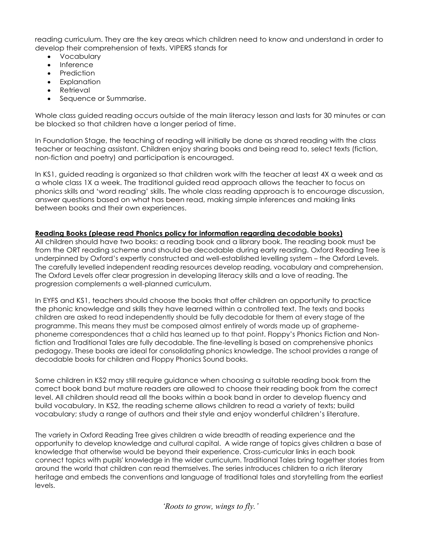reading curriculum. They are the key areas which children need to know and understand in order to develop their comprehension of texts. VIPERS stands for

- Vocabulary
- Inference
- Prediction
- Explanation
- Retrieval
- Sequence or Summarise.

Whole class guided reading occurs outside of the main literacy lesson and lasts for 30 minutes or can be blocked so that children have a longer period of time.

In Foundation Stage, the teaching of reading will initially be done as shared reading with the class teacher or teaching assistant. Children enjoy sharing books and being read to, select texts (fiction, non-fiction and poetry) and participation is encouraged.

In KS1, guided reading is organized so that children work with the teacher at least 4X a week and as a whole class 1X a week. The traditional guided read approach allows the teacher to focus on phonics skills and 'word reading' skills. The whole class reading approach is to encourage discussion, answer questions based on what has been read, making simple inferences and making links between books and their own experiences.

### **Reading Books (please read Phonics policy for information regarding decodable books)**

All children should have two books: a reading book and a library book. The reading book must be from the ORT reading scheme and should be decodable during early reading. Oxford Reading Tree is underpinned by Oxford's expertly constructed and well-established levelling system – the Oxford Levels. The carefully levelled independent reading resources develop reading, vocabulary and comprehension. The Oxford Levels offer clear progression in developing literacy skills and a love of reading. The progression complements a well-planned curriculum.

In EYFS and KS1, teachers should choose the books that offer children an opportunity to practice the phonic knowledge and skills they have learned within a controlled text. The texts and books children are asked to read independently should be fully decodable for them at every stage of the programme. This means they must be composed almost entirely of words made up of graphemephoneme correspondences that a child has learned up to that point. Floppy's Phonics Fiction and Nonfiction and Traditional Tales are fully decodable. The fine-levelling is based on comprehensive phonics pedagogy. These books are ideal for consolidating phonics knowledge. The school provides a range of decodable books for children and Floppy Phonics Sound books.

Some children in KS2 may still require guidance when choosing a suitable reading book from the correct book band but mature readers are allowed to choose their reading book from the correct level. All children should read all the books within a book band in order to develop fluency and build vocabulary. In KS2, the reading scheme allows children to read a variety of texts; build vocabulary; study a range of authors and their style and enjoy wonderful children's literature.

The variety in Oxford Reading Tree gives children a wide breadth of reading experience and the opportunity to develop knowledge and cultural capital. A wide range of topics gives children a base of knowledge that otherwise would be beyond their experience. Cross-curricular links in each book connect topics with pupils' knowledge in the wider curriculum. Traditional Tales bring together stories from around the world that children can read themselves. The series introduces children to a rich literary heritage and embeds the conventions and language of traditional tales and storytelling from the earliest levels.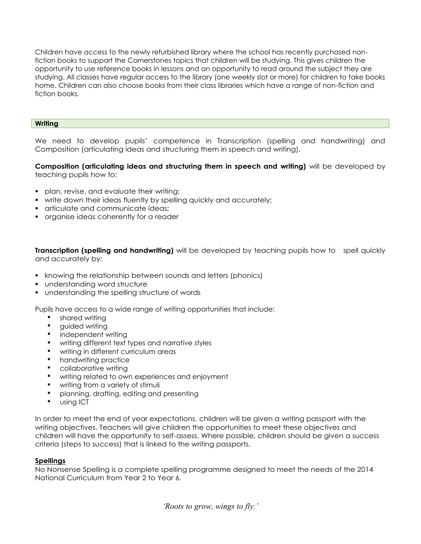Children have access to the newly refurbished library where the school has recently purchased nonfiction books to support the Cornerstones topics that children will be studying. This gives children the opportunity to use reference books in lessons and an opportunity to read around the subject they are studying. All classes have regular access to the library (one weekly slot or more) for children to take books home. Children can also choose books from their class libraries which have a range of non-fiction and fiction books.

### **Writing**

We need to develop pupils' competence in Transcription (spelling and handwriting) and Composition (articulating ideas and structuring them in speech and writing).

**Composition (articulating ideas and structuring them in speech and writing)** will be developed by teaching pupils how to:

- **plan, revise, and evaluate their writing;**
- write down their ideas fluently by spelling quickly and accurately;
- **articulate and communicate ideas;**
- organise ideas coherently for a reader

**Transcription (spelling and handwriting)** will be developed by teaching pupils how to spell quickly and accurately by:

- knowing the relationship between sounds and letters (phonics)
- **understanding word structure**
- **•** understanding the spelling structure of words

Pupils have access to a wide range of writing opportunities that include:

- **•** shared writing
- **•** auided writing
- independent writing
- writing different text types and narrative styles
- writing in different curriculum areas
- handwriting practice
- collaborative writing
- writing related to own experiences and enjoyment
- writing from a variety of stimuli
- planning, drafting, editing and presenting
- **using ICT**

In order to meet the end of year expectations, children will be given a writing passport with the writing objectives. Teachers will give children the opportunities to meet these objectives and children will have the opportunity to self-assess. Where possible, children should be given a success criteria (steps to success) that is linked to the writing passports.

# **Spellings**

No Nonsense Spelling is a complete spelling programme designed to meet the needs of the 2014 National Curriculum from Year 2 to Year 6.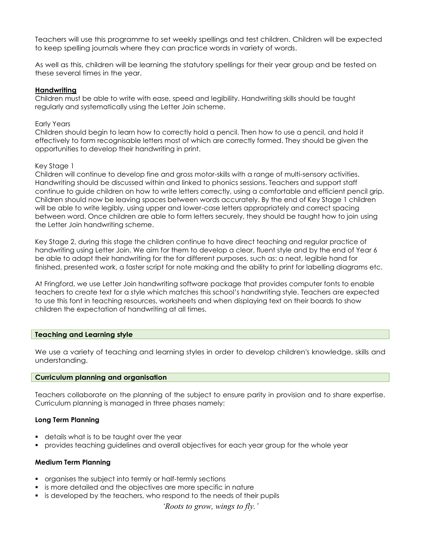Teachers will use this programme to set weekly spellings and test children. Children will be expected to keep spelling journals where they can practice words in variety of words.

As well as this, children will be learning the statutory spellings for their year group and be tested on these several times in the year.

### **Handwriting**

Children must be able to write with ease, speed and legibility. Handwriting skills should be taught regularly and systematically using the Letter Join scheme.

### Early Years

Children should begin to learn how to correctly hold a pencil. Then how to use a pencil, and hold it effectively to form recognisable letters most of which are correctly formed. They should be given the opportunities to develop their handwriting in print.

### Key Stage 1

Children will continue to develop fine and gross motor-skills with a range of multi-sensory activities. Handwriting should be discussed within and linked to phonics sessions. Teachers and support staff continue to guide children on how to write letters correctly, using a comfortable and efficient pencil grip. Children should now be leaving spaces between words accurately. By the end of Key Stage 1 children will be able to write legibly, using upper and lower-case letters appropriately and correct spacing between word. Once children are able to form letters securely, they should be taught how to join using the Letter Join handwriting scheme.

Key Stage 2, during this stage the children continue to have direct teaching and regular practice of handwriting using Letter Join. We aim for them to develop a clear, fluent style and by the end of Year 6 be able to adapt their handwriting for the for different purposes, such as: a neat, legible hand for finished, presented work, a faster script for note making and the ability to print for labelling diagrams etc.

At Fringford, we use Letter Join handwriting software package that provides computer fonts to enable teachers to create text for a style which matches this school's handwriting style. Teachers are expected to use this font in teaching resources, worksheets and when displaying text on their boards to show children the expectation of handwriting at all times.

#### **Teaching and Learning style**

We use a variety of teaching and learning styles in order to develop children's knowledge, skills and understanding.

### **Curriculum planning and organisation**

Teachers collaborate on the planning of the subject to ensure parity in provision and to share expertise. Curriculum planning is managed in three phases namely:

# **Long Term Planning**

- details what is to be taught over the year
- **•** provides teaching guidelines and overall objectives for each year group for the whole year

# **Medium Term Planning**

- organises the subject into termly or half-termly sections
- is more detailed and the objectives are more specific in nature
- is developed by the teachers, who respond to the needs of their pupils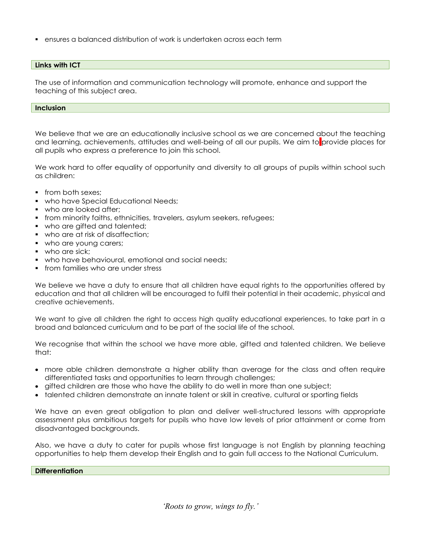ensures a balanced distribution of work is undertaken across each term

# **Links with ICT**

The use of information and communication technology will promote, enhance and support the teaching of this subject area.

#### **Inclusion**

We believe that we are an educationally inclusive school as we are concerned about the teaching and learning, achievements, attitudes and well-being of all our pupils. We aim to provide places for all pupils who express a preference to join this school.

We work hard to offer equality of opportunity and diversity to all groups of pupils within school such as children:

- **from both sexes:**
- who have Special Educational Needs;
- who are looked after:
- from minority faiths, ethnicities, travelers, asylum seekers, refugees;
- who are gifted and talented;
- who are at risk of disaffection:
- who are young carers;
- who are sick:
- **•** who have behavioural, emotional and social needs;
- **from families who are under stress**

We believe we have a duty to ensure that all children have equal rights to the opportunities offered by education and that all children will be encouraged to fulfil their potential in their academic, physical and creative achievements.

We want to give all children the right to access high quality educational experiences, to take part in a broad and balanced curriculum and to be part of the social life of the school.

We recognise that within the school we have more able, gifted and talented children. We believe that:

- more able children demonstrate a higher ability than average for the class and often require differentiated tasks and opportunities to learn through challenges;
- gifted children are those who have the ability to do well in more than one subject;
- talented children demonstrate an innate talent or skill in creative, cultural or sporting fields

We have an even great obligation to plan and deliver well-structured lessons with appropriate assessment plus ambitious targets for pupils who have low levels of prior attainment or come from disadvantaged backgrounds.

Also, we have a duty to cater for pupils whose first language is not English by planning teaching opportunities to help them develop their English and to gain full access to the National Curriculum.

#### **Differentiation**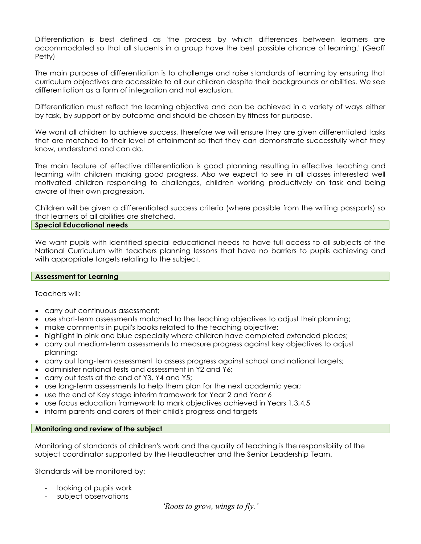Differentiation is best defined as 'the process by which differences between learners are accommodated so that all students in a group have the best possible chance of learning.' (Geoff Petty)

The main purpose of differentiation is to challenge and raise standards of learning by ensuring that curriculum objectives are accessible to all our children despite their backgrounds or abilities. We see differentiation as a form of integration and not exclusion.

Differentiation must reflect the learning objective and can be achieved in a variety of ways either by task, by support or by outcome and should be chosen by fitness for purpose.

We want all children to achieve success, therefore we will ensure they are given differentiated tasks that are matched to their level of attainment so that they can demonstrate successfully what they know, understand and can do.

The main feature of effective differentiation is good planning resulting in effective teaching and learning with children making good progress. Also we expect to see in all classes interested well motivated children responding to challenges, children working productively on task and being aware of their own progression.

Children will be given a differentiated success criteria (where possible from the writing passports) so that learners of all abilities are stretched.

### **Special Educational needs**

We want pupils with identified special educational needs to have full access to all subjects of the National Curriculum with teachers planning lessons that have no barriers to pupils achieving and with appropriate targets relating to the subject.

# **Assessment for Learning**

Teachers will:

- carry out continuous assessment;
- use short-term assessments matched to the teaching objectives to adjust their planning;
- make comments in pupil's books related to the teaching objective;
- highlight in pink and blue especially where children have completed extended pieces;
- carry out medium-term assessments to measure progress against key objectives to adjust planning;
- carry out long-term assessment to assess progress against school and national targets;
- administer national tests and assessment in Y2 and Y6;
- carry out tests at the end of Y3, Y4 and Y5;
- use long-term assessments to help them plan for the next academic year;
- use the end of Key stage interim framework for Year 2 and Year 6
- use focus education framework to mark objectives achieved in Years 1,3,4,5
- inform parents and carers of their child's progress and targets

# **Monitoring and review of the subject**

Monitoring of standards of children's work and the quality of teaching is the responsibility of the subject coordinator supported by the Headteacher and the Senior Leadership Team.

Standards will be monitored by:

- looking at pupils work
- subject observations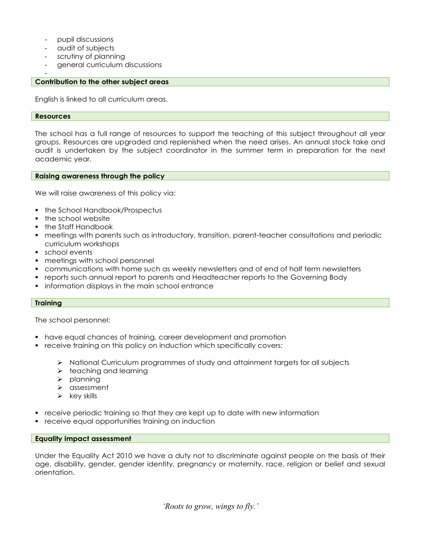- pupil discussions
- audit of subjects
- scrutiny of planning
- general curriculum discussions

### **Contribution to the other subject areas**

English is linked to all curriculum areas.

#### **Resources**

-

The school has a full range of resources to support the teaching of this subject throughout all year groups. Resources are upgraded and replenished when the need arises. An annual stock take and audit is undertaken by the subject coordinator in the summer term in preparation for the next academic year.

#### **Raising awareness through the policy**

We will raise awareness of this policy via:

- the School Handbook/Prospectus
- the school website
- **the Staff Handbook**
- meetings with parents such as introductory, transition, parent-teacher consultations and periodic curriculum workshops
- school events
- **meetings with school personnel**
- communications with home such as weekly newsletters and of end of half term newsletters
- reports such annual report to parents and Headteacher reports to the Governing Body
- **i** information displays in the main school entrance

#### **Training**

The school personnel:

- have equal chances of training, career development and promotion
- **•** receive training on this policy on induction which specifically covers:
	- $\triangleright$  National Curriculum programmes of study and attainment targets for all subjects
	- $\triangleright$  teaching and learning
	- $\triangleright$  planning
	- $\triangleright$  assessment
	- $\triangleright$  key skills
- receive periodic training so that they are kept up to date with new information
- **F** receive equal opportunities training on induction

#### **Equality impact assessment**

Under the Equality Act 2010 we have a duty not to discriminate against people on the basis of their age, disability, gender, gender identity, pregnancy or maternity, race, religion or belief and sexual orientation.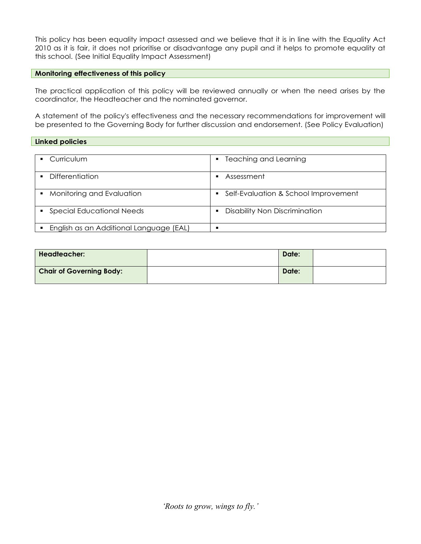This policy has been equality impact assessed and we believe that it is in line with the Equality Act 2010 as it is fair, it does not prioritise or disadvantage any pupil and it helps to promote equality at this school. (See Initial Equality Impact Assessment)

# **Monitoring effectiveness of this policy**

The practical application of this policy will be reviewed annually or when the need arises by the coordinator, the Headteacher and the nominated governor.

A statement of the policy's effectiveness and the necessary recommendations for improvement will be presented to the Governing Body for further discussion and endorsement. (See Policy Evaluation)

#### **Linked policies**

|                | • Curriculum                            | Teaching and Learning<br>٠                |
|----------------|-----------------------------------------|-------------------------------------------|
| $\blacksquare$ | Differentiation                         | Assessment<br>п                           |
| $\blacksquare$ | Monitoring and Evaluation               | Self-Evaluation & School Improvement<br>٠ |
|                | • Special Educational Needs             | <b>Disability Non Discrimination</b>      |
| $\blacksquare$ | English as an Additional Language (EAL) | п                                         |

| Headteacher:                    | Date: |  |
|---------------------------------|-------|--|
| <b>Chair of Governing Body:</b> | Date: |  |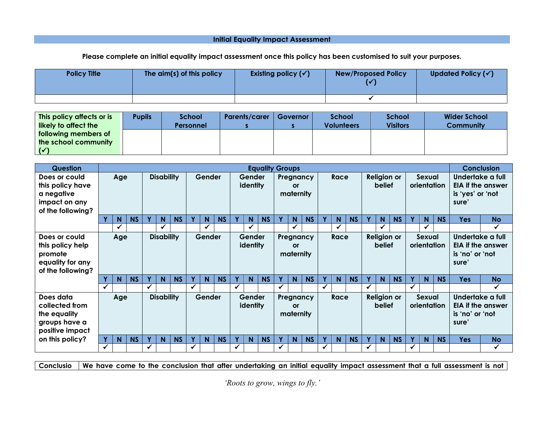# **Initial Equality Impact Assessment**

**Please complete an initial equality impact assessment once this policy has been customised to suit your purposes.**

| <b>Policy Title</b> | The aim(s) of this policy | Existing policy $(\checkmark)$ | <b>New/Proposed Policy</b> | Updated Policy $(\checkmark)$ |
|---------------------|---------------------------|--------------------------------|----------------------------|-------------------------------|
|                     |                           |                                |                            |                               |

| <b>This policy affects or is</b><br>likely to affect the | <b>Pupils</b> | <b>School</b><br><b>Personnel</b> | <b>Parents/carer</b> | Governor | <b>School</b><br><b>Volunteers</b> | <b>School</b><br><b>Visitors</b> | <b>Wider School</b><br><b>Community</b> |
|----------------------------------------------------------|---------------|-----------------------------------|----------------------|----------|------------------------------------|----------------------------------|-----------------------------------------|
| <b>following members of</b>                              |               |                                   |                      |          |                                    |                                  |                                         |
| the school community                                     |               |                                   |                      |          |                                    |                                  |                                         |
| $(\checkmark)$                                           |               |                                   |                      |          |                                    |                                  |                                         |

| <b>Question</b>                                                                       | <b>Equality Groups</b> |     |                          |   |                   |                              |        |        |                              |              |                                             | <b>Conclusion</b>                   |   |                                     |           |                                                                          |             |           |                       |                              |           |                                                                           |        |             |                                              |                          |
|---------------------------------------------------------------------------------------|------------------------|-----|--------------------------|---|-------------------|------------------------------|--------|--------|------------------------------|--------------|---------------------------------------------|-------------------------------------|---|-------------------------------------|-----------|--------------------------------------------------------------------------|-------------|-----------|-----------------------|------------------------------|-----------|---------------------------------------------------------------------------|--------|-------------|----------------------------------------------|--------------------------|
| Does or could<br>this policy have<br>a negative<br>impact on any<br>of the following? | Age                    |     |                          |   | <b>Disability</b> |                              | Gender |        | Gender<br>identity           |              |                                             | Pregnancy<br><b>or</b><br>maternity |   | Race                                |           | <b>Religion or</b><br>belief                                             |             |           | Sexual<br>orientation |                              |           | Undertake a full<br><b>EIA if the answer</b><br>is 'yes' or 'not<br>sure' |        |             |                                              |                          |
|                                                                                       |                        | N   | <b>NS</b>                |   | $\mathbf N$       | <b>NS</b>                    |        | N.     | <b>NS</b>                    |              | N                                           | <b>NS</b>                           |   | $\mathbf N$                         | <b>NS</b> |                                                                          | N           | <b>NS</b> |                       | N                            | <b>NS</b> |                                                                           | N      | <b>NS</b>   | Yes                                          | <b>No</b>                |
|                                                                                       |                        |     |                          |   |                   |                              |        |        |                              |              |                                             |                                     |   |                                     |           |                                                                          | ✔           |           |                       | ✔                            |           |                                                                           |        |             |                                              |                          |
| Does or could<br>this policy help<br>promote<br>equality for any<br>of the following? |                        |     | <b>Disability</b><br>Age |   |                   | Gender<br>Gender<br>identity |        |        | Pregnancy<br>or<br>maternity |              | <b>Religion or</b><br>Race<br><b>belief</b> |                                     |   | Sexual<br>orientation               |           | Undertake a full<br><b>EIA if the answer</b><br>is 'no' or 'not<br>sure' |             |           |                       |                              |           |                                                                           |        |             |                                              |                          |
|                                                                                       |                        | N   | <b>NS</b>                |   | N <sub>1</sub>    | <b>NS</b>                    |        | N      | <b>NS</b>                    |              | N                                           | <b>NS</b>                           |   | N                                   | <b>NS</b> |                                                                          | N           | <b>NS</b> |                       | N                            | <b>NS</b> |                                                                           | N.     | <b>NS</b>   | <b>Yes</b>                                   | <b>No</b>                |
|                                                                                       | ✓                      |     |                          | ✓ |                   |                              |        |        |                              |              |                                             |                                     | ✓ |                                     |           | ✓                                                                        |             |           | ✓                     |                              |           |                                                                           |        |             |                                              |                          |
| Does data<br>collected from<br>the equality<br>groups have a<br>positive impact       |                        | Age |                          |   | <b>Disability</b> |                              |        | Gender |                              |              | Gender<br>identity                          |                                     |   | Pregnancy<br><b>or</b><br>maternity |           |                                                                          | Race        |           |                       | <b>Religion or</b><br>belief |           |                                                                           | Sexual | orientation | Undertake a full<br>is 'no' or 'not<br>sure' | <b>EIA if the answer</b> |
| on this policy?                                                                       | v                      | N   | <b>NS</b>                |   | N                 | <b>NS</b>                    |        | N      | <b>NS</b>                    | $\mathbf v$  | N                                           | <b>NS</b>                           | v | N                                   | <b>NS</b> | $\mathbf{v}$                                                             | $\mathbf N$ | <b>NS</b> |                       | N                            | <b>NS</b> |                                                                           | N.     | <b>NS</b>   | <b>Yes</b>                                   | <b>No</b>                |
|                                                                                       | $\checkmark$           |     |                          | ✔ |                   |                              | ✔      |        |                              | $\checkmark$ |                                             |                                     | ✓ |                                     |           | ✓                                                                        |             |           | ✓                     |                              |           | ✔                                                                         |        |             |                                              | $\checkmark$             |

**Conclusio We have come to the conclusion that after undertaking an initial equality impact assessment that a full assessment is not**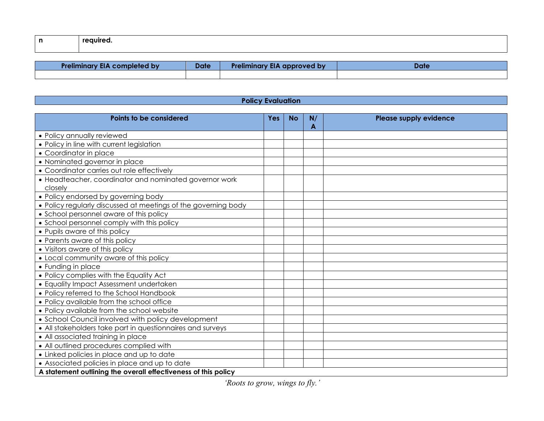| n, | ----------<br>11 I I I G<br>. |
|----|-------------------------------|
|    |                               |

| <b>Preliminary EIA completed by</b> | Date | <b>Preliminary EIA approved by</b> | Date |
|-------------------------------------|------|------------------------------------|------|
|                                     |      |                                    |      |

| <b>Policy Evaluation</b>                                       |            |           |    |                        |  |  |  |  |  |  |  |  |
|----------------------------------------------------------------|------------|-----------|----|------------------------|--|--|--|--|--|--|--|--|
|                                                                |            |           |    |                        |  |  |  |  |  |  |  |  |
| Points to be considered                                        | <b>Yes</b> | <b>No</b> | N/ | Please supply evidence |  |  |  |  |  |  |  |  |
|                                                                |            |           | A  |                        |  |  |  |  |  |  |  |  |
| • Policy annually reviewed                                     |            |           |    |                        |  |  |  |  |  |  |  |  |
| • Policy in line with current legislation                      |            |           |    |                        |  |  |  |  |  |  |  |  |
| • Coordinator in place                                         |            |           |    |                        |  |  |  |  |  |  |  |  |
| • Nominated governor in place                                  |            |           |    |                        |  |  |  |  |  |  |  |  |
| • Coordinator carries out role effectively                     |            |           |    |                        |  |  |  |  |  |  |  |  |
| • Headteacher, coordinator and nominated governor work         |            |           |    |                        |  |  |  |  |  |  |  |  |
| closely                                                        |            |           |    |                        |  |  |  |  |  |  |  |  |
| • Policy endorsed by governing body                            |            |           |    |                        |  |  |  |  |  |  |  |  |
| . Policy regularly discussed at meetings of the governing body |            |           |    |                        |  |  |  |  |  |  |  |  |
| • School personnel aware of this policy                        |            |           |    |                        |  |  |  |  |  |  |  |  |
| • School personnel comply with this policy                     |            |           |    |                        |  |  |  |  |  |  |  |  |
| • Pupils aware of this policy                                  |            |           |    |                        |  |  |  |  |  |  |  |  |
| • Parents aware of this policy                                 |            |           |    |                        |  |  |  |  |  |  |  |  |
| • Visitors aware of this policy                                |            |           |    |                        |  |  |  |  |  |  |  |  |
| • Local community aware of this policy                         |            |           |    |                        |  |  |  |  |  |  |  |  |
| • Funding in place                                             |            |           |    |                        |  |  |  |  |  |  |  |  |
| • Policy complies with the Equality Act                        |            |           |    |                        |  |  |  |  |  |  |  |  |
| • Equality Impact Assessment undertaken                        |            |           |    |                        |  |  |  |  |  |  |  |  |
| • Policy referred to the School Handbook                       |            |           |    |                        |  |  |  |  |  |  |  |  |
| • Policy available from the school office                      |            |           |    |                        |  |  |  |  |  |  |  |  |
| • Policy available from the school website                     |            |           |    |                        |  |  |  |  |  |  |  |  |
| • School Council involved with policy development              |            |           |    |                        |  |  |  |  |  |  |  |  |
| • All stakeholders take part in questionnaires and surveys     |            |           |    |                        |  |  |  |  |  |  |  |  |
| • All associated training in place                             |            |           |    |                        |  |  |  |  |  |  |  |  |
| • All outlined procedures complied with                        |            |           |    |                        |  |  |  |  |  |  |  |  |
| • Linked policies in place and up to date                      |            |           |    |                        |  |  |  |  |  |  |  |  |
| • Associated policies in place and up to date                  |            |           |    |                        |  |  |  |  |  |  |  |  |
| A statement outlining the overall effectiveness of this policy |            |           |    |                        |  |  |  |  |  |  |  |  |